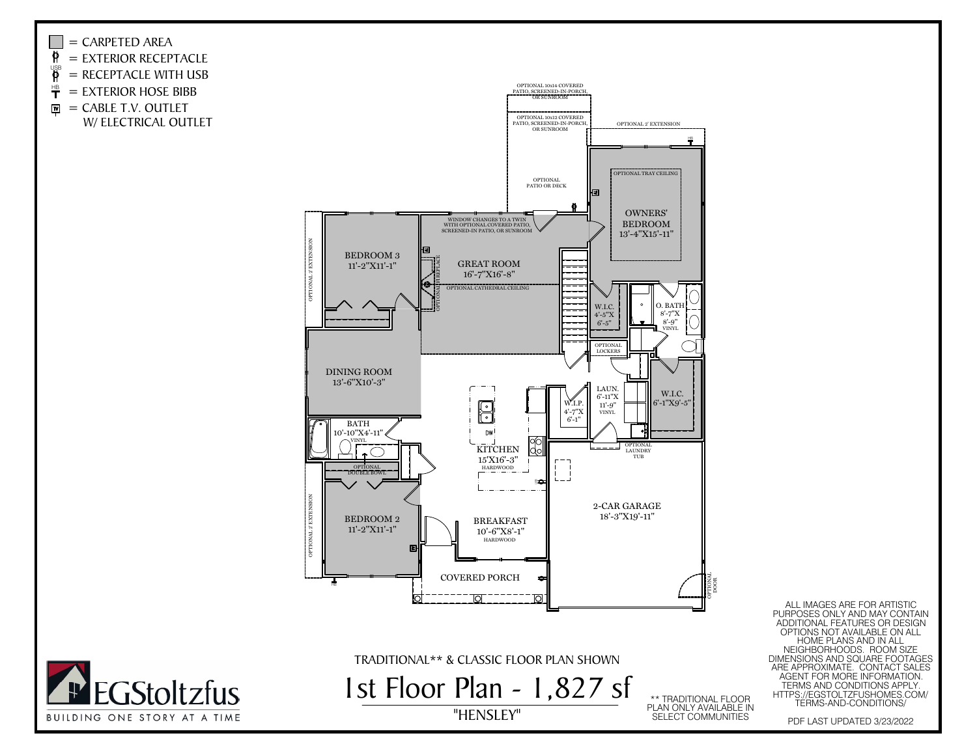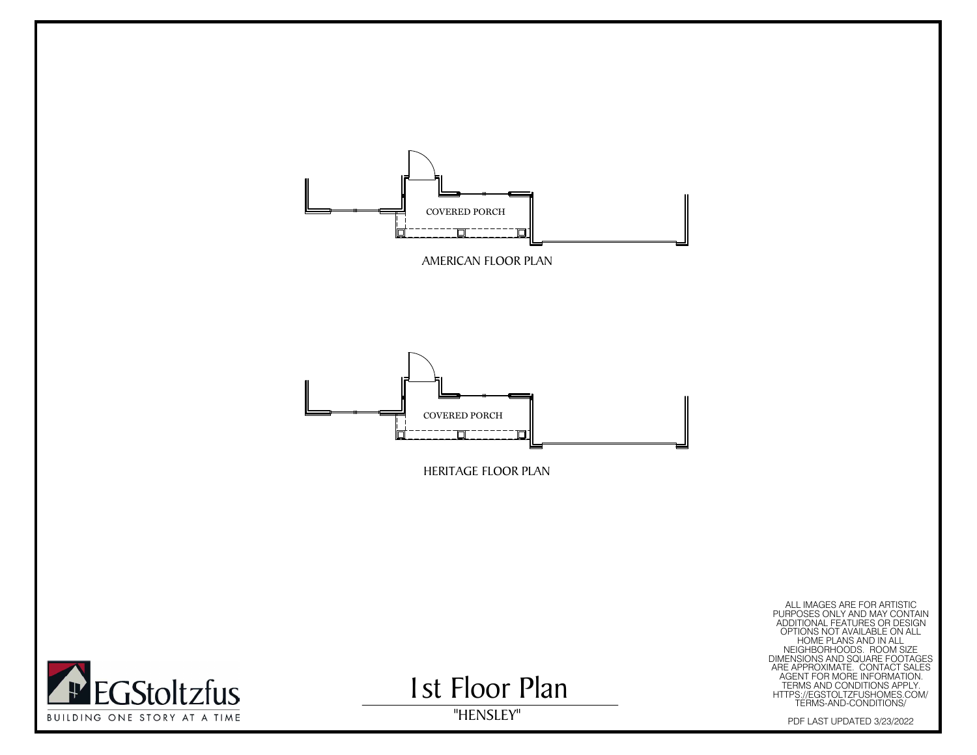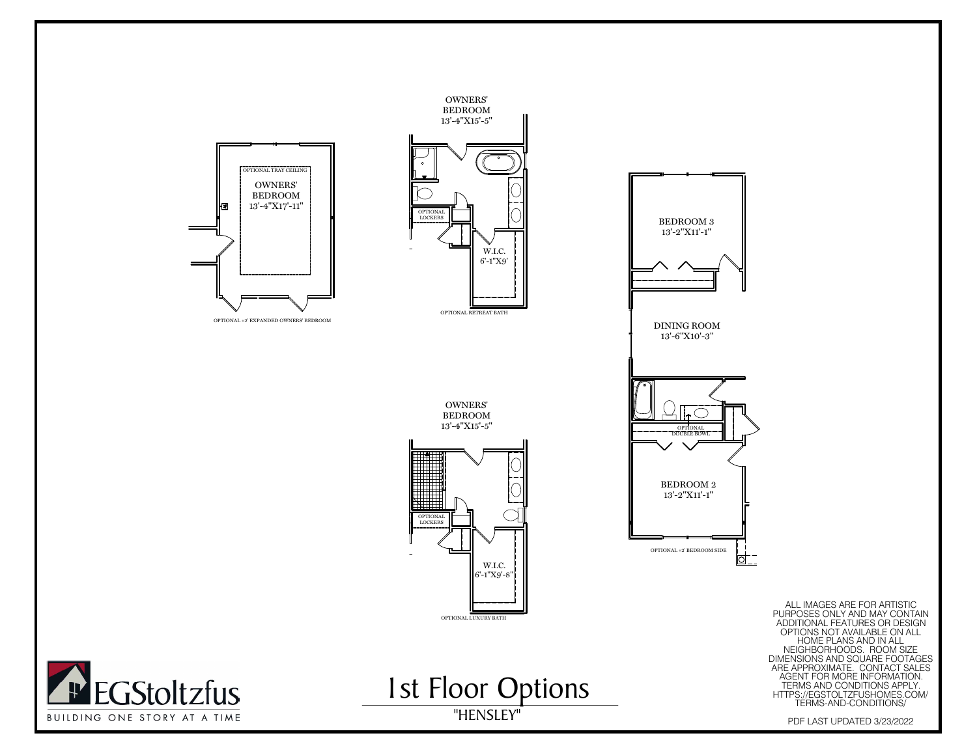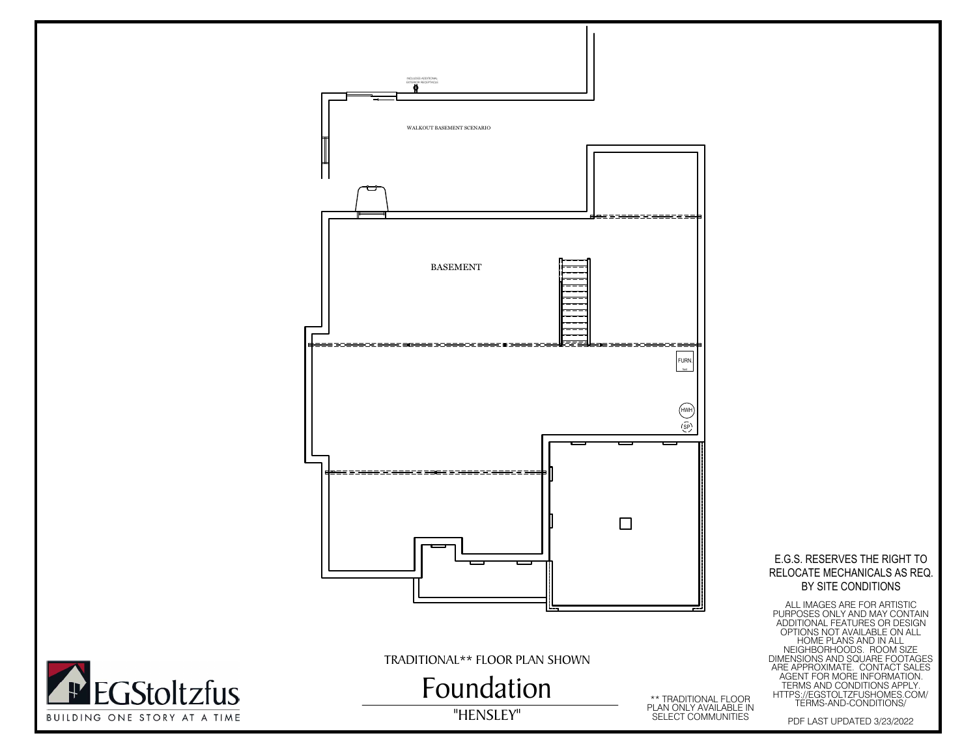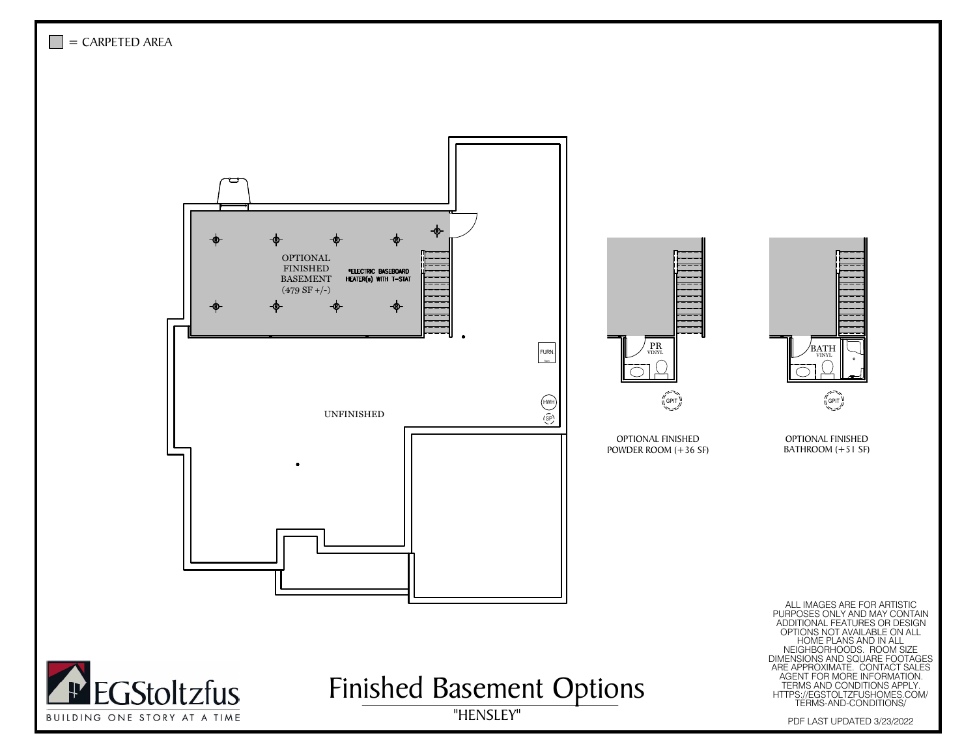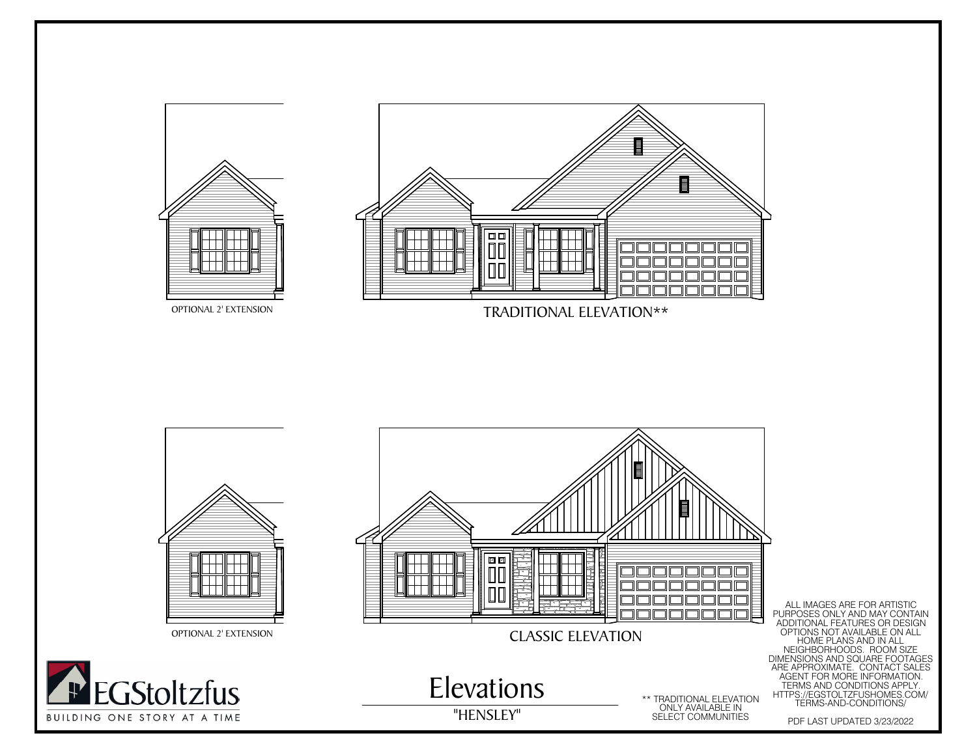